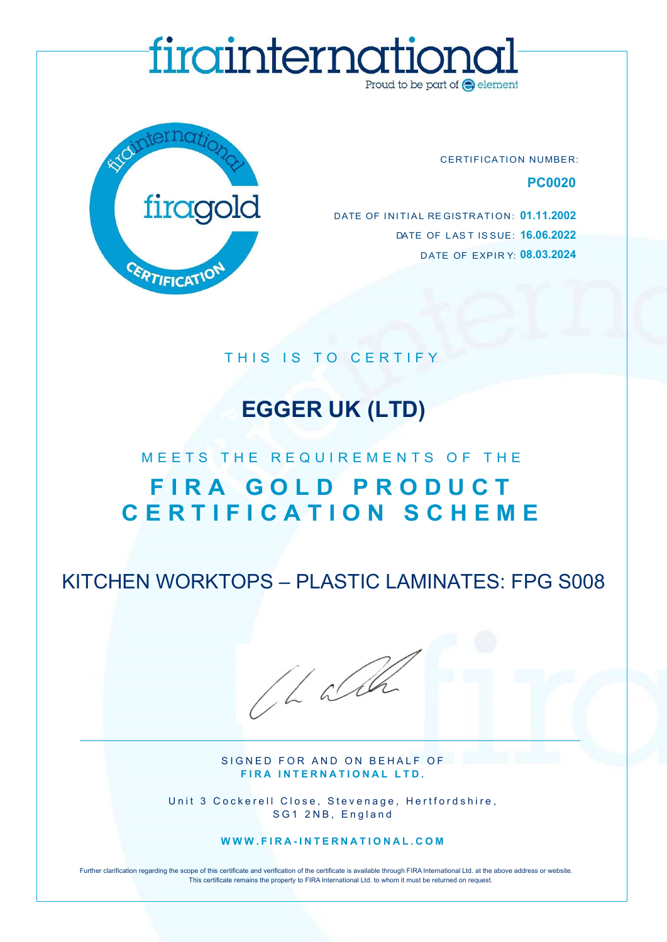# DET MOLDERITTIQUE CONTRATION NUMBER:<br>
PCOO2O<br>
DATE OF INITIAL REGISTRATION: 01.11.2002<br>
DATE OF LAST ISSUE: 16.06.2022<br>
DATE OF EXPIRY: 08.03.2024



CERTIFICATION NUMBER: PC0020

DATE OF LAST ISSUE: **16.06.2022** DATE OF EXPIRY 08.03.2024 EXPERIENCATION NUMBER:<br>
POOOOO<br>
DATE OF INITIAL REGISTRATION: 01.11.2002<br>
DATE OF INITIAL REGISTRATION: 01.11.2002<br>
DATE OF LAST ISSUE: 16.06.2022<br>
DATE OF EXPIRY: 08.03.2024<br>
THIS IS TO CERTIFY<br>
EGGER UK (LTD) DATE OF INITIAL REGISTRATION: 01.11.2002

# EGGER UK (LTD)

# FCOOLD DATE OF INITIAL REGISTRATION: 01.11.2002<br>
DATE OF LAST ISSUE: 16.06.2022<br>
DATE OF EXPIRY: 08.03.2024<br>
DATE OF EXPIRY: 08.03.2024<br>
THIS IS TO CERTIFY<br> **EGGER UK (LTD)**<br>
MEETS THE REQUIREMENTS OF THE<br>
FIRA GOLD PRODUC THE REQUIREMENTS OF THE REGISTRATION: 01.11.2002 EXPITE CATTON<br>
THIS IS TO CERTIFY<br>
FIRA GOLD PRODUCT<br>
CERTIFICATION SCHEME<br>
EN WORKTOPS – PLASTIC LAMINATES: FPG S008

KITCHEN WORKTOPS – PLASTIC LAMINATES: FPG S008

/LaCh

SIGNED FOR AND ON BEHALF OF FIRA INTERNATIONAL LTD.

Unit 3 Cockerell Close, Stevenage, Hertfordshire, SG1 2NB, England

WWW.FIRA-INTERNATIONAL.COM

Further clarification regarding the scope of this certificate and verification of the certificate is available through FIRA International Ltd. at the above address or website. This certificate remains the property to FIRA International Ltd. to whom it must be returned on request.